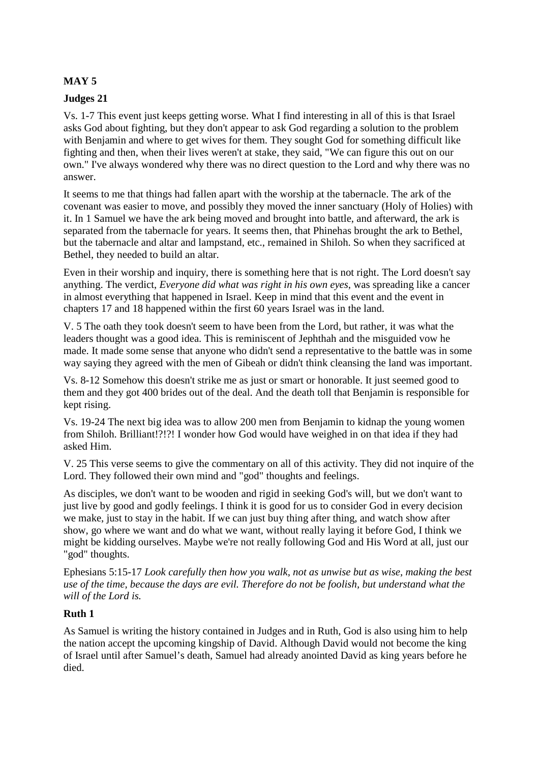# **MAY 5**

## **Judges 21**

Vs. 1-7 This event just keeps getting worse. What I find interesting in all of this is that Israel asks God about fighting, but they don't appear to ask God regarding a solution to the problem with Benjamin and where to get wives for them. They sought God for something difficult like fighting and then, when their lives weren't at stake, they said, "We can figure this out on our own." I've always wondered why there was no direct question to the Lord and why there was no answer.

It seems to me that things had fallen apart with the worship at the tabernacle. The ark of the covenant was easier to move, and possibly they moved the inner sanctuary (Holy of Holies) with it. In 1 Samuel we have the ark being moved and brought into battle, and afterward, the ark is separated from the tabernacle for years. It seems then, that Phinehas brought the ark to Bethel, but the tabernacle and altar and lampstand, etc., remained in Shiloh. So when they sacrificed at Bethel, they needed to build an altar.

Even in their worship and inquiry, there is something here that is not right. The Lord doesn't say anything. The verdict, *Everyone did what was right in his own eyes*, was spreading like a cancer in almost everything that happened in Israel. Keep in mind that this event and the event in chapters 17 and 18 happened within the first 60 years Israel was in the land.

V. 5 The oath they took doesn't seem to have been from the Lord, but rather, it was what the leaders thought was a good idea. This is reminiscent of Jephthah and the misguided vow he made. It made some sense that anyone who didn't send a representative to the battle was in some way saying they agreed with the men of Gibeah or didn't think cleansing the land was important.

Vs. 8-12 Somehow this doesn't strike me as just or smart or honorable. It just seemed good to them and they got 400 brides out of the deal. And the death toll that Benjamin is responsible for kept rising.

Vs. 19-24 The next big idea was to allow 200 men from Benjamin to kidnap the young women from Shiloh. Brilliant!?!?! I wonder how God would have weighed in on that idea if they had asked Him.

V. 25 This verse seems to give the commentary on all of this activity. They did not inquire of the Lord. They followed their own mind and "god" thoughts and feelings.

As disciples, we don't want to be wooden and rigid in seeking God's will, but we don't want to just live by good and godly feelings. I think it is good for us to consider God in every decision we make, just to stay in the habit. If we can just buy thing after thing, and watch show after show, go where we want and do what we want, without really laying it before God, I think we might be kidding ourselves. Maybe we're not really following God and His Word at all, just our "god" thoughts.

Ephesians 5:15-17 *Look carefully then how you walk, not as unwise but as wise, making the best use of the time, because the days are evil. Therefore do not be foolish, but understand what the will of the Lord is.* 

## **Ruth 1**

As Samuel is writing the history contained in Judges and in Ruth, God is also using him to help the nation accept the upcoming kingship of David. Although David would not become the king of Israel until after Samuel's death, Samuel had already anointed David as king years before he died.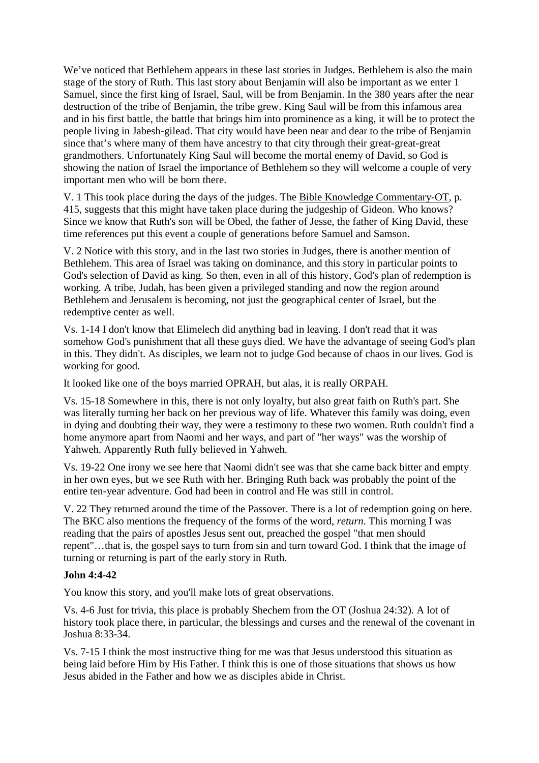We've noticed that Bethlehem appears in these last stories in Judges. Bethlehem is also the main stage of the story of Ruth. This last story about Benjamin will also be important as we enter 1 Samuel, since the first king of Israel, Saul, will be from Benjamin. In the 380 years after the near destruction of the tribe of Benjamin, the tribe grew. King Saul will be from this infamous area and in his first battle, the battle that brings him into prominence as a king, it will be to protect the people living in Jabesh-gilead. That city would have been near and dear to the tribe of Benjamin since that's where many of them have ancestry to that city through their great-great-great grandmothers. Unfortunately King Saul will become the mortal enemy of David, so God is showing the nation of Israel the importance of Bethlehem so they will welcome a couple of very important men who will be born there.

V. 1 This took place during the days of the judges. The Bible Knowledge Commentary-OT, p. 415, suggests that this might have taken place during the judgeship of Gideon. Who knows? Since we know that Ruth's son will be Obed, the father of Jesse, the father of King David, these time references put this event a couple of generations before Samuel and Samson.

V. 2 Notice with this story, and in the last two stories in Judges, there is another mention of Bethlehem. This area of Israel was taking on dominance, and this story in particular points to God's selection of David as king. So then, even in all of this history, God's plan of redemption is working. A tribe, Judah, has been given a privileged standing and now the region around Bethlehem and Jerusalem is becoming, not just the geographical center of Israel, but the redemptive center as well.

Vs. 1-14 I don't know that Elimelech did anything bad in leaving. I don't read that it was somehow God's punishment that all these guys died. We have the advantage of seeing God's plan in this. They didn't. As disciples, we learn not to judge God because of chaos in our lives. God is working for good.

It looked like one of the boys married OPRAH, but alas, it is really ORPAH.

Vs. 15-18 Somewhere in this, there is not only loyalty, but also great faith on Ruth's part. She was literally turning her back on her previous way of life. Whatever this family was doing, even in dying and doubting their way, they were a testimony to these two women. Ruth couldn't find a home anymore apart from Naomi and her ways, and part of "her ways" was the worship of Yahweh. Apparently Ruth fully believed in Yahweh.

Vs. 19-22 One irony we see here that Naomi didn't see was that she came back bitter and empty in her own eyes, but we see Ruth with her. Bringing Ruth back was probably the point of the entire ten-year adventure. God had been in control and He was still in control.

V. 22 They returned around the time of the Passover. There is a lot of redemption going on here. The BKC also mentions the frequency of the forms of the word, *return*. This morning I was reading that the pairs of apostles Jesus sent out, preached the gospel "that men should repent"…that is, the gospel says to turn from sin and turn toward God. I think that the image of turning or returning is part of the early story in Ruth.

#### **John 4:4-42**

You know this story, and you'll make lots of great observations.

Vs. 4-6 Just for trivia, this place is probably Shechem from the OT (Joshua 24:32). A lot of history took place there, in particular, the blessings and curses and the renewal of the covenant in Joshua 8:33-34.

Vs. 7-15 I think the most instructive thing for me was that Jesus understood this situation as being laid before Him by His Father. I think this is one of those situations that shows us how Jesus abided in the Father and how we as disciples abide in Christ.